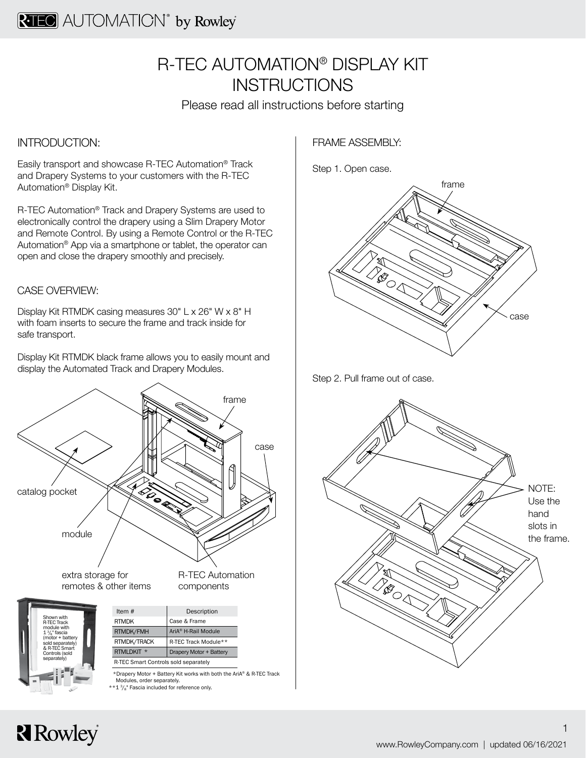## R-TEC AUTOMATION® DISPLAY KIT **INSTRUCTIONS**

Please read all instructions before starting

#### INTRODUCTION:

Easily transport and showcase R-TEC Automation® Track and Drapery Systems to your customers with the R-TEC Automation® Display Kit.

R-TEC Automation® Track and Drapery Systems are used to electronically control the drapery using a Slim Drapery Motor and Remote Control. By using a Remote Control or the R-TEC Automation® App via a smartphone or tablet, the operator can open and close the drapery smoothly and precisely.

#### CASE OVERVIEW:

Display Kit RTMDK casing measures 30" L x 26" W x 8" H with foam inserts to secure the frame and track inside for safe transport.

Display Kit RTMDK black frame allows you to easily mount and display the Automated Track and Drapery Modules.



FRAME ASSEMBLY:

Step 1. Open case.







# **R**owley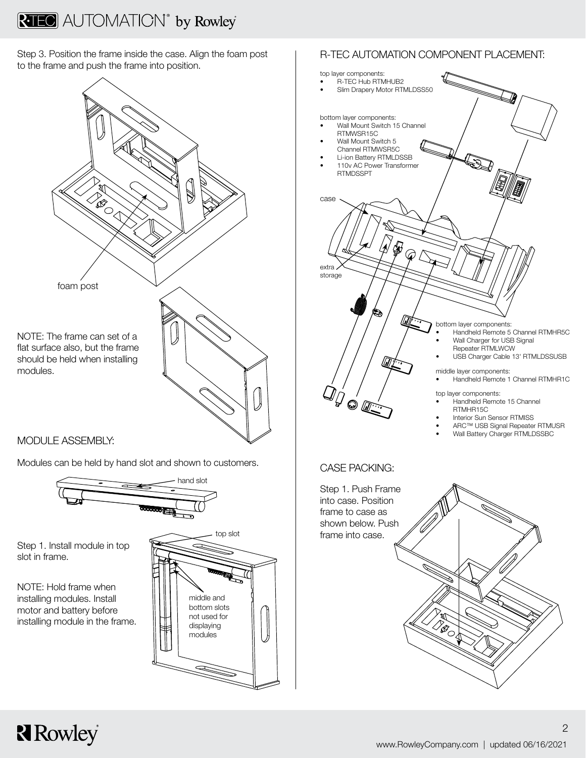Step 3. Position the frame inside the case. Align the foam post to the frame and push the frame into position.



#### MODULE ASSEMBLY:

Modules can be held by hand slot and shown to customers.



Step 1. Install module in top slot in frame.

NOTE: Hold frame when installing modules. Install motor and battery before installing module in the frame.

**R**owley



### R-TEC AUTOMATION COMPONENT PLACEMENT: